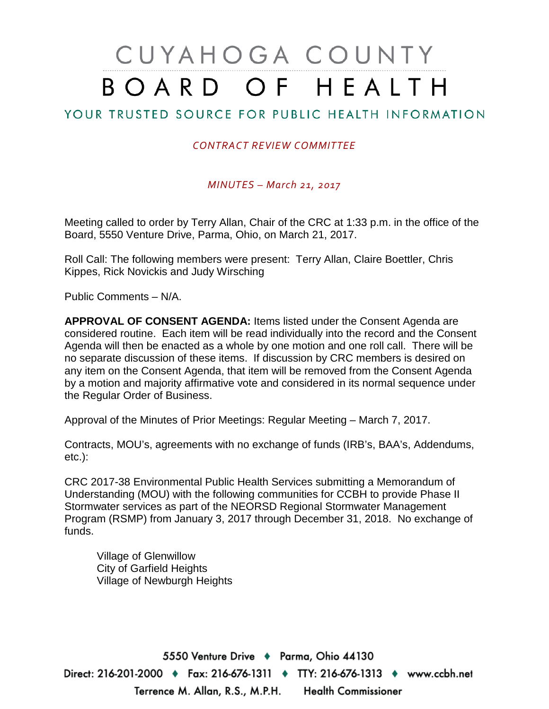# CUYAHOGA COUNTY BOARD OF HEALTH

# YOUR TRUSTED SOURCE FOR PUBLIC HEALTH INFORMATION

#### *CONTRACT REVIEW COMMITTEE*

*MINUTES – March 21, 2017*

Meeting called to order by Terry Allan, Chair of the CRC at 1:33 p.m. in the office of the Board, 5550 Venture Drive, Parma, Ohio, on March 21, 2017.

Roll Call: The following members were present: Terry Allan, Claire Boettler, Chris Kippes, Rick Novickis and Judy Wirsching

Public Comments – N/A.

**APPROVAL OF CONSENT AGENDA:** Items listed under the Consent Agenda are considered routine. Each item will be read individually into the record and the Consent Agenda will then be enacted as a whole by one motion and one roll call. There will be no separate discussion of these items. If discussion by CRC members is desired on any item on the Consent Agenda, that item will be removed from the Consent Agenda by a motion and majority affirmative vote and considered in its normal sequence under the Regular Order of Business.

Approval of the Minutes of Prior Meetings: Regular Meeting – March 7, 2017.

Contracts, MOU's, agreements with no exchange of funds (IRB's, BAA's, Addendums, etc.):

CRC 2017-38 Environmental Public Health Services submitting a Memorandum of Understanding (MOU) with the following communities for CCBH to provide Phase II Stormwater services as part of the NEORSD Regional Stormwater Management Program (RSMP) from January 3, 2017 through December 31, 2018. No exchange of funds.

Village of Glenwillow City of Garfield Heights Village of Newburgh Heights

5550 Venture Drive + Parma, Ohio 44130 Direct: 216-201-2000 ♦ Fax: 216-676-1311 ♦ TTY: 216-676-1313 ♦ www.ccbh.net Terrence M. Allan, R.S., M.P.H. **Health Commissioner**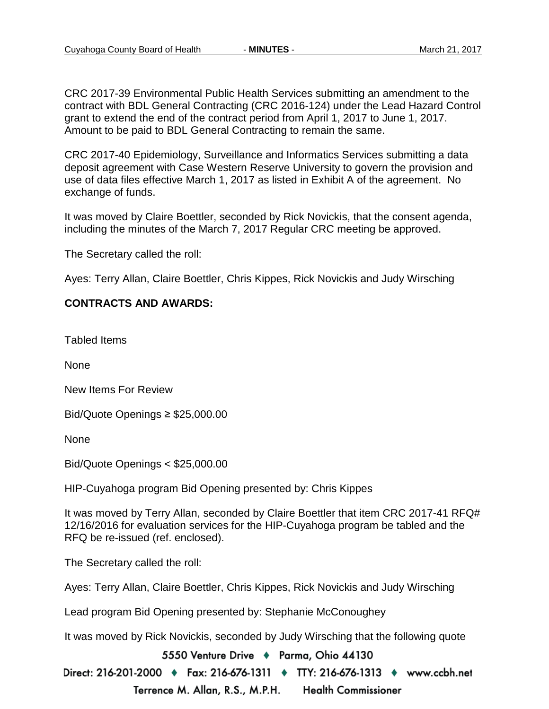CRC 2017-39 Environmental Public Health Services submitting an amendment to the contract with BDL General Contracting (CRC 2016-124) under the Lead Hazard Control grant to extend the end of the contract period from April 1, 2017 to June 1, 2017. Amount to be paid to BDL General Contracting to remain the same.

CRC 2017-40 Epidemiology, Surveillance and Informatics Services submitting a data deposit agreement with Case Western Reserve University to govern the provision and use of data files effective March 1, 2017 as listed in Exhibit A of the agreement. No exchange of funds.

It was moved by Claire Boettler, seconded by Rick Novickis, that the consent agenda, including the minutes of the March 7, 2017 Regular CRC meeting be approved.

The Secretary called the roll:

Ayes: Terry Allan, Claire Boettler, Chris Kippes, Rick Novickis and Judy Wirsching

#### **CONTRACTS AND AWARDS:**

Tabled Items

**None** 

New Items For Review

Bid/Quote Openings ≥ \$25,000.00

None

Bid/Quote Openings < \$25,000.00

HIP-Cuyahoga program Bid Opening presented by: Chris Kippes

It was moved by Terry Allan, seconded by Claire Boettler that item CRC 2017-41 RFQ# 12/16/2016 for evaluation services for the HIP-Cuyahoga program be tabled and the RFQ be re-issued (ref. enclosed).

The Secretary called the roll:

Ayes: Terry Allan, Claire Boettler, Chris Kippes, Rick Novickis and Judy Wirsching

Lead program Bid Opening presented by: Stephanie McConoughey

It was moved by Rick Novickis, seconded by Judy Wirsching that the following quote

5550 Venture Drive + Parma, Ohio 44130

Direct: 216-201-2000 ♦ Fax: 216-676-1311 ♦ TTY: 216-676-1313 ♦ www.ccbh.net Terrence M. Allan, R.S., M.P.H. **Health Commissioner**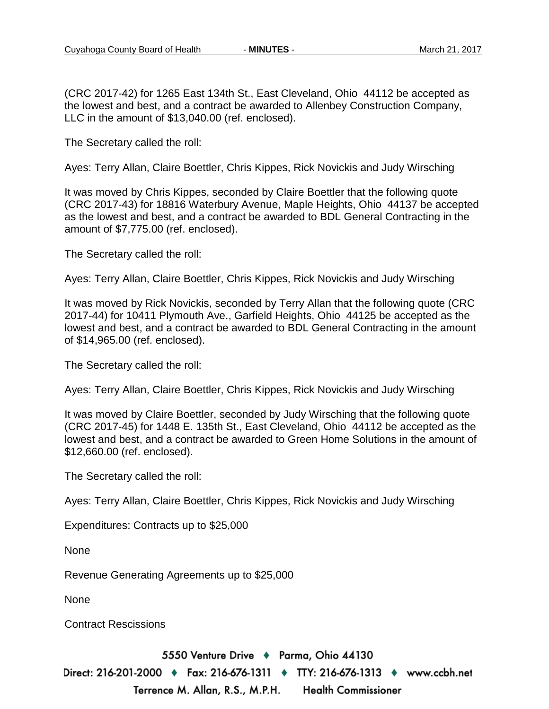(CRC 2017-42) for 1265 East 134th St., East Cleveland, Ohio 44112 be accepted as the lowest and best, and a contract be awarded to Allenbey Construction Company, LLC in the amount of \$13,040.00 (ref. enclosed).

The Secretary called the roll:

Ayes: Terry Allan, Claire Boettler, Chris Kippes, Rick Novickis and Judy Wirsching

It was moved by Chris Kippes, seconded by Claire Boettler that the following quote (CRC 2017-43) for 18816 Waterbury Avenue, Maple Heights, Ohio 44137 be accepted as the lowest and best, and a contract be awarded to BDL General Contracting in the amount of \$7,775.00 (ref. enclosed).

The Secretary called the roll:

Ayes: Terry Allan, Claire Boettler, Chris Kippes, Rick Novickis and Judy Wirsching

It was moved by Rick Novickis, seconded by Terry Allan that the following quote (CRC 2017-44) for 10411 Plymouth Ave., Garfield Heights, Ohio 44125 be accepted as the lowest and best, and a contract be awarded to BDL General Contracting in the amount of \$14,965.00 (ref. enclosed).

The Secretary called the roll:

Ayes: Terry Allan, Claire Boettler, Chris Kippes, Rick Novickis and Judy Wirsching

It was moved by Claire Boettler, seconded by Judy Wirsching that the following quote (CRC 2017-45) for 1448 E. 135th St., East Cleveland, Ohio 44112 be accepted as the lowest and best, and a contract be awarded to Green Home Solutions in the amount of \$12,660.00 (ref. enclosed).

The Secretary called the roll:

Ayes: Terry Allan, Claire Boettler, Chris Kippes, Rick Novickis and Judy Wirsching

Expenditures: Contracts up to \$25,000

None

Revenue Generating Agreements up to \$25,000

None

Contract Rescissions

5550 Venture Drive + Parma, Ohio 44130

Direct: 216-201-2000 ♦ Fax: 216-676-1311 ♦ TTY: 216-676-1313 ♦ www.ccbh.net Terrence M. Allan, R.S., M.P.H. **Health Commissioner**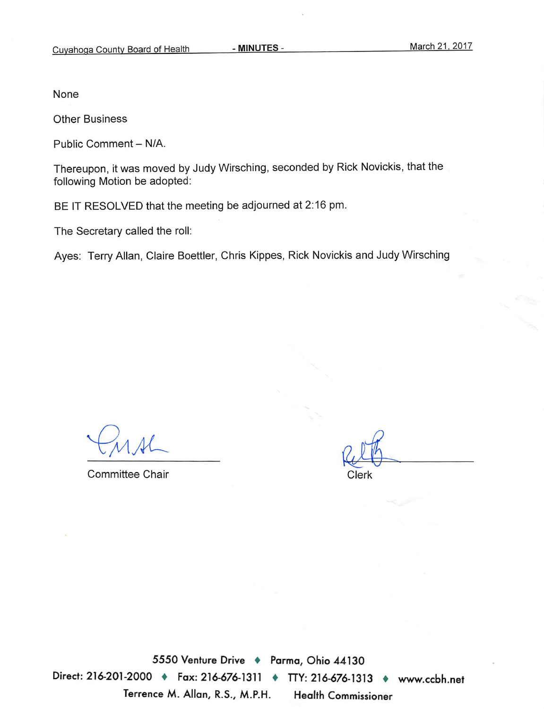None

**Other Business** 

Public Comment - N/A.

Thereupon, it was moved by Judy Wirsching, seconded by Rick Novickis, that the following Motion be adopted:

BE IT RESOLVED that the meeting be adjourned at 2:16 pm.

The Secretary called the roll:

Ayes: Terry Allan, Claire Boettler, Chris Kippes, Rick Novickis and Judy Wirsching

**Committee Chair** 

Clerk

5550 Venture Drive + Parma, Ohio 44130 Direct: 216-201-2000 + Fax: 216-676-1311 + TTY: 216-676-1313 + www.ccbh.net Terrence M. Allan, R.S., M.P.H. **Health Commissioner**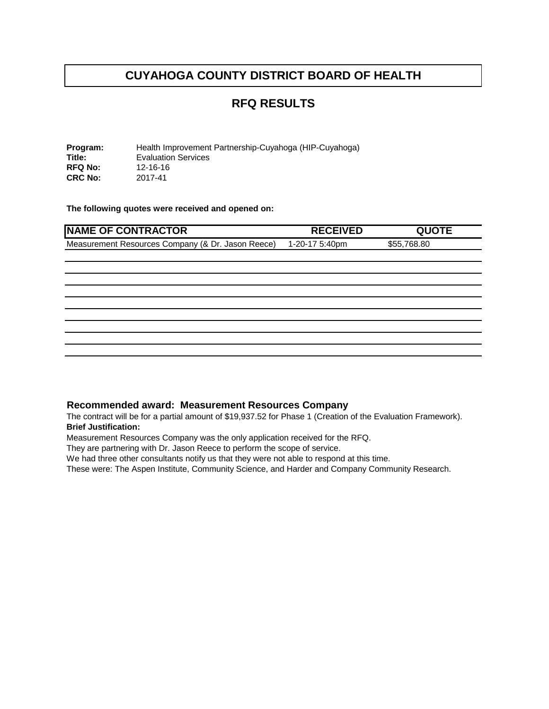#### **RFQ RESULTS**

**Program:** Health Improvement Partnership-Cuyahoga (HIP-Cuyahoga)<br> **Title:** Evaluation Services Evaluation Services<br>12-16-16 **RFQ No:** 12-16-16<br>**CRC No:** 2017-41 **CRC No:** 

**The following quotes were received and opened on:** 

| <b>RECEIVED</b> | <b>QUOTE</b> |
|-----------------|--------------|
| 1-20-17 5:40pm  | \$55,768.80  |
|                 |              |
|                 |              |
|                 |              |
|                 |              |
|                 |              |
|                 |              |
|                 |              |
|                 |              |
|                 |              |
|                 |              |

#### **Recommended award: Measurement Resources Company**

The contract will be for a partial amount of \$19,937.52 for Phase 1 (Creation of the Evaluation Framework). **Brief Justification:**

Measurement Resources Company was the only application received for the RFQ.

They are partnering with Dr. Jason Reece to perform the scope of service.

We had three other consultants notify us that they were not able to respond at this time.

These were: The Aspen Institute, Community Science, and Harder and Company Community Research.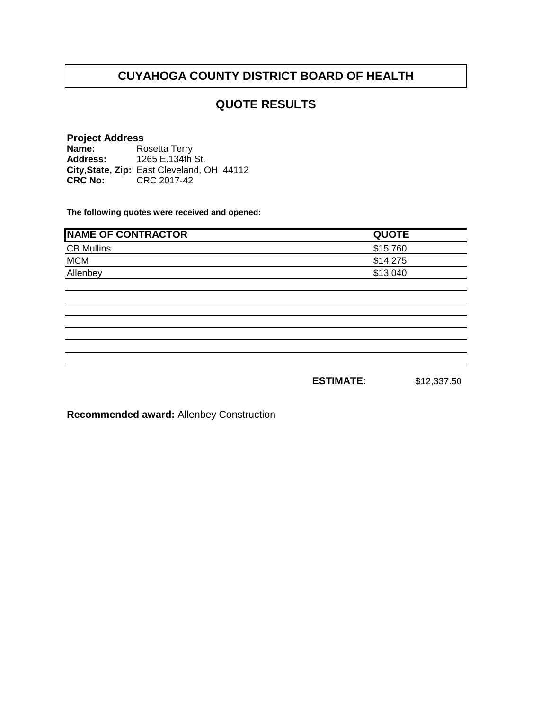### **QUOTE RESULTS**

#### **Project Address**

**Name: Address: City,State, Zip: CRC No:** CRC 2017-42 Rosetta Terry 1265 E.134th St. East Cleveland, OH 44112

**The following quotes were received and opened:**

| <b>NAME OF CONTRACTOR</b> | <b>QUOTE</b> |
|---------------------------|--------------|
| <b>CB Mullins</b>         | \$15,760     |
| <b>MCM</b>                | \$14.275     |
| Allenbey                  | \$13,040     |

**ESTIMATE:** \$12,337.50

**Recommended award:** Allenbey Construction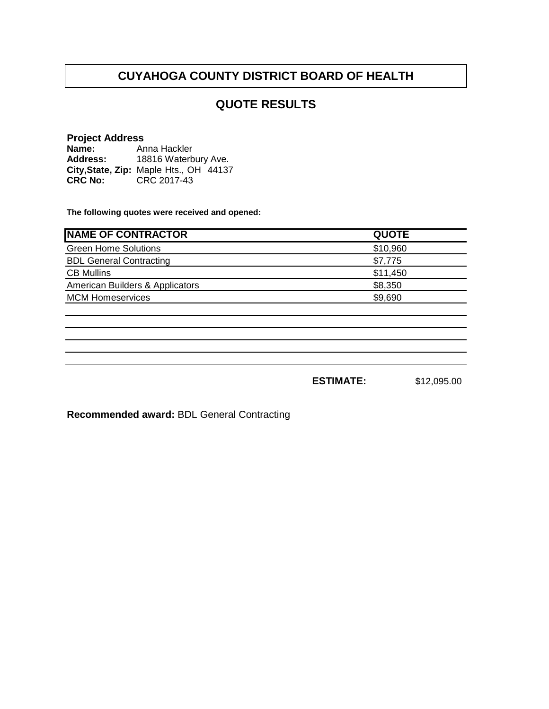### **QUOTE RESULTS**

#### **Project Address**

**Name: Address: City,State, Zip: CRC No:**  Anna Hackler 18816 Waterbury Ave. Maple Hts., OH 44137 CRC 2017-43

**The following quotes were received and opened:**

| <b>NAME OF CONTRACTOR</b>       | <b>QUOTE</b> |
|---------------------------------|--------------|
| <b>Green Home Solutions</b>     | \$10,960     |
| <b>BDL General Contracting</b>  | \$7,775      |
| <b>CB Mullins</b>               | \$11,450     |
| American Builders & Applicators | \$8,350      |
| <b>MCM Homeservices</b>         | \$9,690      |
|                                 |              |

**ESTIMATE:** \$12,095.00

**Recommended award:** BDL General Contracting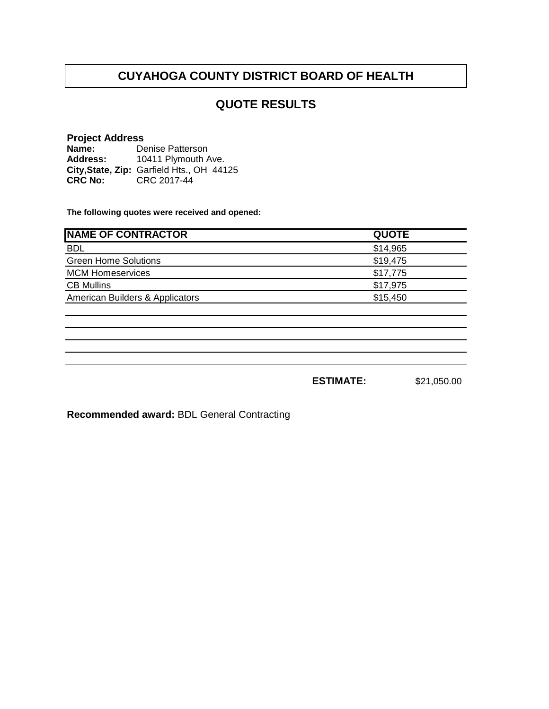### **QUOTE RESULTS**

#### **Project Address**

**Name: Address: City,State, Zip: CRC No:** CRC 2017-44 Denise Patterson 10411 Plymouth Ave. Garfield Hts., OH 44125

**The following quotes were received and opened:**

| <b>QUOTE</b> |
|--------------|
| \$14,965     |
| \$19,475     |
| \$17,775     |
| \$17,975     |
| \$15,450     |
|              |

**ESTIMATE:** \$21,050.00

**Recommended award:** BDL General Contracting